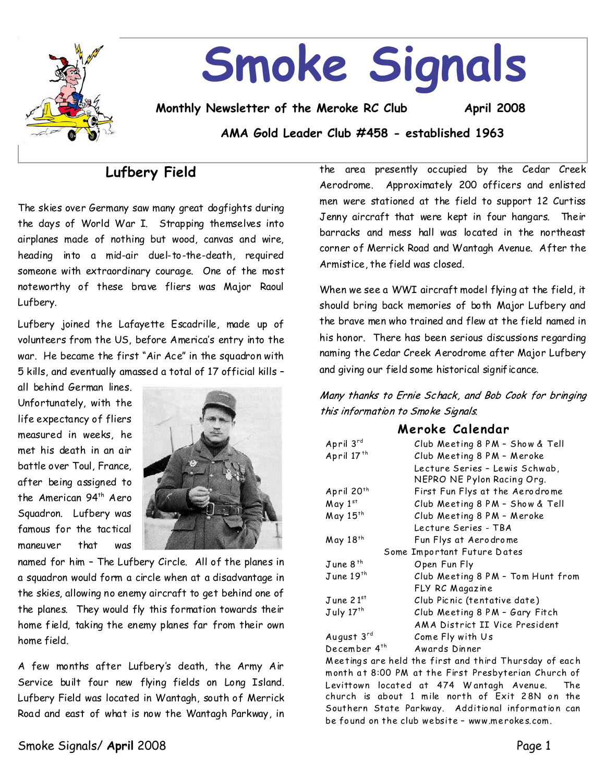

# **Smoke Signals**

**Monthly Newsletter of the Meroke RC Club April 2008**

**AMA Gold Leader Club #458 - established 1963**

# **Lufbery Field**

The skies over Germany saw many great dogfights during the days of World War I. Strapping themselves into airplanes made of nothing but wood, canvas and wire, heading into a mid-air duel-to-the-death, required someone with extraordinary courage. One of the most noteworthy of these brave fliers was Major Raoul Lufbery.

Lufbery joined the Lafayette Escadrille, made up of volunteers from the US, before America's entry into the war. He became the first "Air Ace" in the squadron with 5 kills, and eventually amassed a total of 17 official kills–

all behind German lines. Unfortunately, with the life expectancy of fliers measured in weeks, he met his death in an air battle over Toul, France, after being assigned to the American 94<sup>th</sup> Aero Squadron. Lufbery was famous for the tactical maneuver that was



named for him - The Lufbery Circle. All of the planes in a squadron would form a circle when at a disadvantage in the skies, allowing no enemy aircraft to get behind one of the planes. They would fly this formation towards their home field, taking the enemy planes far from their own home field.

A few months after Lufbery's death, the Army Air Service built four new flying fields on Long Island. Lufbery Field was located in Wantagh, south of Merrick Road and east of what is now the Wantagh Parkway, in

the area presently occupied by the Cedar Creek Aerodrome. Approximately 200 officers and enlisted men were stationed at the field to support 12 Curtiss Jenny aircraft that were kept in four hangars. Their barracks and mess hall was located in the northeast corner of Merrick Road and Wantagh Avenue. After the Armistice, the field was closed.

When we see a WWI aircraft model flying at the field, it should bring back memories of both Major Lufbery and the brave men who trained and flew at the field named in his honor. There has been serious discussions regarding naming the Cedar Creek Aerodrome after Major Lufbery and giving our field some historical significance.

Many thanks to Ernie Schack, and Bob Cook for bringing this information to Smoke Signals.

## **Meroke Calendar**

| April 3rd                   | Club Meeting 8 PM - Show & Tell   |  |  |  |  |
|-----------------------------|-----------------------------------|--|--|--|--|
| April 17 <sup>th</sup>      | Club Meeting 8 PM - Meroke        |  |  |  |  |
|                             | Lecture Series - Lewis Schwab,    |  |  |  |  |
|                             | NEPRO NE Pylon Racing Org.        |  |  |  |  |
| April 20 <sup>th</sup>      | First Fun Flys at the Aerodrome   |  |  |  |  |
| May 1st                     | Club Meeting 8 PM - Show & Tell   |  |  |  |  |
| May 15th                    | Club Meeting 8 PM - Meroke        |  |  |  |  |
|                             | Lecture Series - TBA              |  |  |  |  |
| May 18th                    | Fun Flys at Aerodrome             |  |  |  |  |
| Some Important Future Dates |                                   |  |  |  |  |
| June 8 <sup>th</sup>        | Open Fun Fly                      |  |  |  |  |
| $J$ une $19$ <sup>th</sup>  | Club Meeting 8 PM - Tom Hunt from |  |  |  |  |
|                             |                                   |  |  |  |  |
|                             | FLY RC Magazine                   |  |  |  |  |
| June 21 <sup>st</sup>       | Club Picnic (tentative date)      |  |  |  |  |
| July 17 <sup>th</sup>       | Club Meeting 8 PM - Gary Fitch    |  |  |  |  |
|                             | AMA District II Vice President    |  |  |  |  |
| August 3rd                  | Come Fly with Us                  |  |  |  |  |

Meetings are held the first and third Thursday of each month at 8:00 PM at the First Presbyterian Church of Levittown located at 474 Wantagh Avenue. The church is about 1 mile north of  $Exit$  28N on the Southern State Parkway. Additional information can be fo und on the club website–www.merokes.com.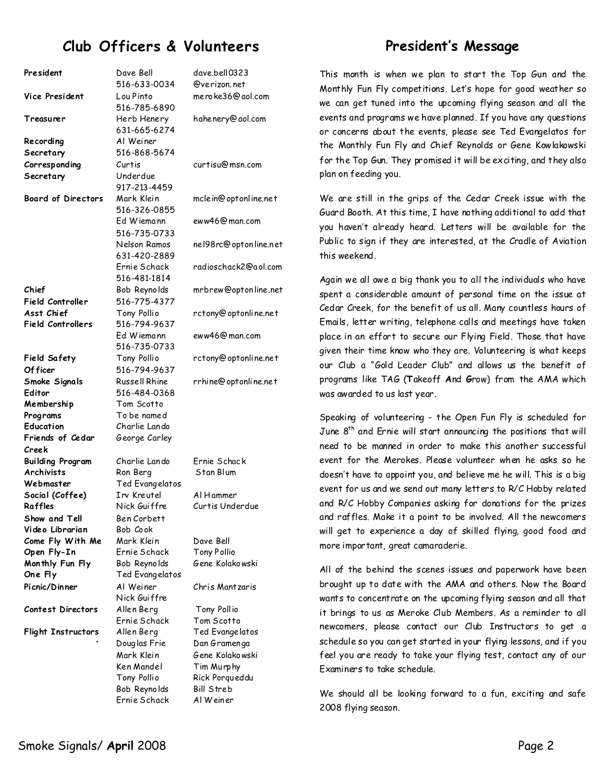# **Club Officers & Volunteers**

## **President's Message**

| President                        | Dave Bell<br>516-633-0034    | dave.bell0323<br>@verizon.net  |
|----------------------------------|------------------------------|--------------------------------|
| Vice President                   | Lou Pinto                    | mero ke36@aol.com              |
| Treasurer                        | 516-785-6890<br>Herb Henery  | hahenery@aol.com               |
|                                  | 631-665-6274<br>Al Weiner    |                                |
| Recording<br>Secretary           | 516-868-5674                 |                                |
| Corresponding                    | Curtis                       | curtisu@msn.com                |
| Secretary                        | Underdue                     |                                |
|                                  | 917-213-4459                 |                                |
| <b>Board of Directors</b>        | Mark Klein                   | mclein@optonline.net           |
|                                  | 516-326-0855                 |                                |
|                                  | Ed Wiemann                   | eww46@man.com                  |
|                                  | 516-735-0733                 |                                |
|                                  | Nelson Ramos                 | nel98rc@optonline.net          |
|                                  | 631-420-2889                 |                                |
|                                  | Ernie Schack                 | radioschack2@aol.com           |
|                                  | 516-481-1814                 |                                |
| Chief                            | Bob Reynolds                 | mrbrew@optonline.net           |
| Field Controller                 | 516-775-4377                 |                                |
| Asst Chief                       | Tony Pollio                  | rctony@optonline.net           |
| <b>Field Controllers</b>         | 516-794-9637                 |                                |
|                                  | Ed Wiemann<br>516-735-0733   | eww46@man.com                  |
| <b>Field Safety</b>              | Tony Pollio                  | rctony@optonline.net           |
| Of ficer                         | 516-794-9637                 |                                |
| Smoke Signals                    | Russell Rhine                | rrhine@optonline.net           |
| Editor                           | 516-484-0368                 |                                |
| Membership                       | Tom Scotto                   |                                |
| Programs                         | To be named                  |                                |
| Education                        | Charlie Lando                |                                |
| Friends of Cedar                 | George Carley                |                                |
| Creek                            |                              |                                |
| <b>Building Program</b>          | Charlie Lando                | Ernie Schack                   |
| <b>Archivists</b>                | Ron Berg                     | Stan Blum                      |
| Webmaster                        | Ted Evangelatos              |                                |
| Social (Coffee)                  | Irv Kreutel                  | Al Hammer                      |
| Raffles                          | Nick Guiffre                 | Curtis Underdue                |
| Show and Tell<br>Video Librarian | Ben Corbett<br>Bob Cook      |                                |
| Come Fly With Me                 | Mark Klein                   | Dave Bell                      |
| Open Fly-In                      | Ernie Schack                 | <b>Tony Pollio</b>             |
| Monthly Fun Fly                  | Bob Reynolds                 | Gene Kolakowski                |
| One Fly                          | Ted Evangelatos              |                                |
| Picnic/Dinner                    | Al Weiner                    | Chris Mantzaris                |
|                                  | Nick Guiffre                 |                                |
| <b>Contest Directors</b>         | Allen Berg                   | Tony Pollio                    |
|                                  | Ernie Schack                 | Tom Scotto                     |
| <b>Flight Instructors</b>        | Allen Berg                   | Ted Evangelatos                |
|                                  | Douglas Frie                 | Dan Gramenga                   |
|                                  | Mark Klein                   | Gene Kolakowski                |
|                                  | Ken Mandel                   | Tim Murphy                     |
|                                  | Tony Pollio                  | Rick Porgueddu                 |
|                                  | Bob Reynolds<br>Ernie Schack | <b>Bill Streb</b><br>Al Weiner |
|                                  |                              |                                |

This month is when we plan to start the Top Gun and the Monthly Fun Fly competitions. Let's hope for good weather so we can get tuned into the upcoming flying season and all the events and programs we have planned. If you have any questions or concerns about the events, please see Ted Evangelatos for the Monthly Fun Fly and Chief Reynolds or Gene Kowlakowski for the Top Gun. They promised it will be exciting,and theyalso plan on feeding you.

We are still in the grips of the Cedar Creek issue with the Guard Booth. At this time, I have nothing additional to add that you haven't already heard. Letters will be available for the Public to sign if they are interested, at the Cradle of Aviation this weekend.

Again we all owe a big thankyou to all the individuals who have spent a considerable amount of personal time on the issue at Cedar Creek, for the benefit of us all. Many countless hours of Emails, letter writing, telephone calls and meetings have taken place in an effort to secure our Flying Field. Those that have given their time know who they are. Volunteering is what keeps our Club a "Gold Leader Club" and allows us the benefit of programs like TAG (**T**akeoff**A**nd**G**row)from the AMA which was awarded to us last year.

Speaking of volunteering - the Open Fun Fly is scheduled for June 8<sup>th</sup> and Ernie will start announcing the positions that will need to be manned in order to make this another successful event for the Merokes. Please volunteer when he asks so he doesn't have to appoint you, and believe me he will. This is a big event for us and we send out many letters to R/C Hobby related and R/C Hobby Companies asking for donations for the prizes and raffles. Make it a point to be involved. All the newcomers will get to experience a day of skilled flying, good food and more important, great camaraderie.

All of the behind the scenes issues and paperwork have been brought up to date with the AMA and others. Now the Board wants to concentrate on the upcoming flying season and all that it brings to us as Meroke Club Members. As a reminder to all newcomers, please contact our Club Instructors to get a schedule so you can get started in your flying lessons, and if you feel you are ready to take your flying test, contact any of our Examiners to take schedule.

We should all be looking forward to a fun, exciting and safe 2008flying season.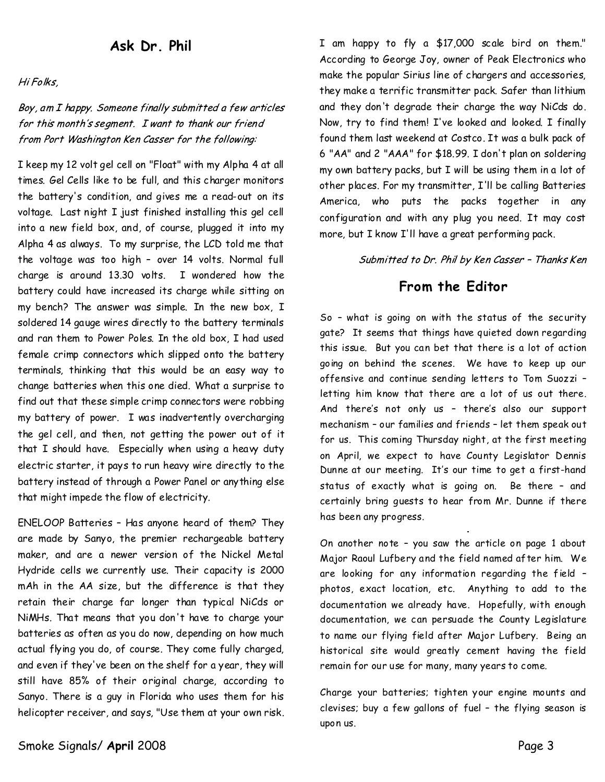## **AskDr.Phil**

Hi Folks,

Boy, am I happy. Someone finally submitted a few articles for this month's segment. I want to thank our friend from Port Washington Ken Casser for the following:

I keep my 12 volt gel cell on "Float" with my Alpha 4 at all times. Gel Cells like to be full, and this charger monitors the battery's condition, and gives me a read-out on its voltage. Last night I just finished installing this gel cell into a new field box, and, of course, plugged it into my Alpha 4 as always. To my surprise, the LCD told me that the voltage was too high - over 14 volts. Normal full charge is around 13.30 volts. I wondered how the battery could have increased its charge while sitting on my bench? The answer was simple. In the new box, I soldered 14 gauge wires directly to the battery terminals and ran them to Power Poles. In the old box, I had used female crimp connectors which slipped onto the battery terminals, thinking that this would be an easy way to change batteries when this one died. What a surprise to find out that these simple crimp connectors were robbing my battery of power. I was inadvertently overcharging the gel cell, and then, not getting the power out of it that I should have. Especially when using a heavy duty electric starter, it pays to run heavy wire directly to the battery instead of through a Power Panel or anything else that might impede the flow of electricity.

ENELOOP Batteries–Has anyone heard of them? They are made by Sanyo, the premier rechargeable battery maker, and are a newer version of the Nickel Metal Hydride cells we currently use. Their capacity is 2000 mAh in the AA size, but the difference is that they retain their charge far longer than typical NiCds or NiMHs. That means that you don't have to charge your batteries as often as you do now, depending on how much actual flying you do, of course. They come fully charged, and even if they've been on the shelf for a year, they will still have 85% of their original charge, according to Sanyo. There is a guy in Florida who uses them for his helicopter receiver, and says, "Use them at your own risk.

I am happy to fly a \$17,000 scale bird on them." According to George Joy, owner of Peak Electronics who make the popular Sirius line of chargers and accessories, they make a terrific transmitter pack. Safer than lithium and they don't degrade their charge theway NiCds do. Now, try to find them! I've looked and looked. I finally found them last weekend at Costco. It was a bulk pack of 6 "AA" and 2 "AAA" for \$18.99. I don't plan on soldering my own battery packs, but I will be using them in a lot of other places. For my transmitter, I'll be calling Batteries America, who puts the packs together in any configuration and with any plug you need. It may cost more, but I know I'll have a great performing pack.

Submitted to Dr. Phil by Ken Casser - Thanks Ken

## **From the Editor**

So - what is going on with the status of the security gate? It seems that things have quieted downregarding this issue. But you canbet that there is a lot of action going on behind the scenes. We have to keep up our offensive and continue sending letters to Tom Suozzi– letting him know that there are a lot of us out there. And there's not only us – there's also our support mechanism - our families and friends - let them speak out for us. This coming Thursday night, at the first meeting on April, we expect to have County Legislator Dennis Dunne at our meeting. It's our time to get a first-hand status of exactly what is going on. Be there - and certainly bring quests to hear from Mr. Dunne if there has been any progress.

On another note - you saw the article on page 1 about Major Raoul Lufbery and the field named after him. We are looking for any information regarding the field – photos, exact location, etc. Anything to add to the documentation we already have. Hopefully, with enough documentation, we can persuade the County Legislature to name our flying field after Major Lufbery. Being an historical site would greatly cement having the field remain for our use for many, many years to come.

Charge your batteries; tighten your engine mounts and clevises; buy a few gallons of fuel - the flying season is upon us.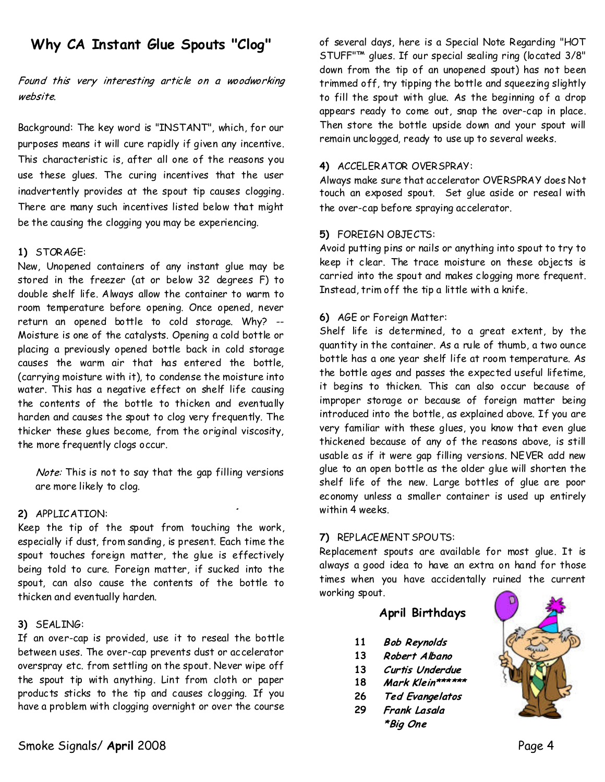# Why CA Instant Glue Spouts "Clog"

## Found this very interesting article on a woodworking website.

Background: The key word is "INSTANT", which, for our purposes means it will cure rapidly if given any incentive. This characteristic is, after all one of the reasons you use these glues. The curing incentives that the user inadvertently provides at the spout tip causes clogging. There are many such incentives listed below that might be the causing the clogging you may be experiencing.

## **1)** STORAGE:

New, Unopened containers of any instant glue may be stored in the freezer (at or below 32 degrees F) to double shelf life. Always allow the container to warm to room temperature before opening. Once opened, never return an opened bottle to cold storage. Why? -- Moisture is one of the catalysts. Opening a cold bottle or placing a previously opened bottle back in cold storage causes the warm air that has entered the bottle, (carrying moisture with it), to condense the moisture into water. This has a negative effect on shelf life causing the contents of the bottle to thicken and eventually harden and causes the spout to clog very frequently. The thicker these glues become, from the original viscosity, the more frequently clogs occur.

Note: This is not to say that the gap filling versions are more likely to clog.

## **2)** APPLICATION:

Keep the tip of the spout from touching the work, especially if dust, from sanding, is present. Each time the spout touches foreign matter, the glue is effectively being told to cure. Foreign matter, if sucked into the spout, can also cause the contents of the bottle to thicken and eventually harden.

#### **3)** SEALING:

If an over-cap is provided, use it to reseal the bottle between uses. The over-cap prevents dust or accelerator overspray etc. from settling on the spout. Never wipe off the spout tip with anything. Lint from cloth or paper products sticks to the tip and causes clogging. If you have a problem with clogging overnight or over the course

of several days, here is a Special Note Regarding "HOT STUFF"™ glues. If our special sealing ring (located 3/8" down from the tip of an unopened spout) has not been trimmed off, try tipping the bottle and squeezing slightly to fill the spout with glue. As the beginning of a drop appears ready to come out, snap the over-cap in place. Then store the bottle upside down and your spout will remain unclogged, ready to use up to several weeks.

## **4)** ACCELERATOR OVERSPRAY:

Always make sure that accelerator OVERSPRAY does Not touch an exposed spout. Set glue aside or reseal with the over-cap before spraying accelerator.

## **5)** FOREIGN OBJECTS:

Avoid putting pins or nails or anything into spout to try to keep it clear. The trace moisture on these objects is carried into the spout and makes clogging morefrequent. Instead, trim off the tip a little with a knife.

## **6)** AGE or Foreign Matter:

Shelf life is determined, to a great extent, by the quantity in the container. As a rule of thumb, a two ounce bottle has a one year shelf life at room temperature. As the bottle ages and passes the expected useful lifetime, it begins to thicken. This can also occur because of improper storage or because of foreign matter being introduced into the bottle, as explained above. If you are very familiar with these glues, you know that even glue thickened because of any of the reasons above, is still usable as if it were gap filling versions.NEVER add new glue to an open bottle as the older glue will shorten the shelf life of the new. Large bottles of glue are poor economy unless a smaller container is used up entirely within 4 weeks.

#### **7)** REPLACEMENT SPOUTS:

Replacement spouts are available for most glue. It is always a good idea to have an extra on hand for those times when you have accidentally ruined the current working spout.

## **April Birthdays**

- **11 Bob Reynolds**
- **13** Robert Albano
- **13** Curtis Underdue
- **18** Mark Klein\*\*\*\*\*\*
- **26 Ted Evangelatos**
- **29**Frank Lasala
	- \*Big One

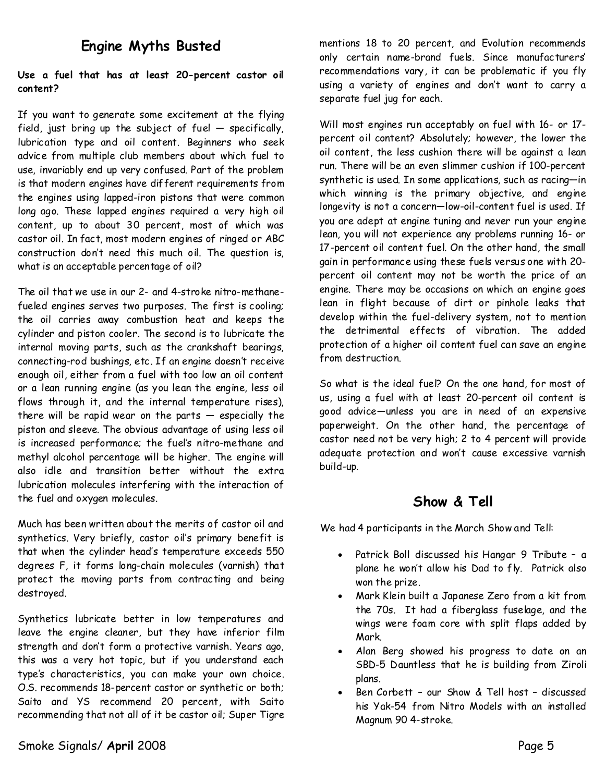# **Engine Myths Busted**

## **Use a fuel that has at least 20-percent castor oil content?**

If you want to generate some excitement at the flying field, just bring up the subject of fuel  $-$  specifically, lubrication type and oil content. Beginners who seek advice from multiple club members about which fuel to use, invariably end up very confused. Part of the problem is that modern engines have different requirements from the engines using lapped-iron pistons that were common long ago. These lapped engines required a very high oil content, up to about 30 percent, most of which was castor oil. In fact, most modern engines of ringed or ABC construction don't need this much oil. The question is, what is an acceptable percentage of oil?

The oil that we use in our 2-and 4-stroke nitro-methane fueled engines serves two purposes. The first is cooling; the oil carries away combustion heat and keeps the cylinder and piston cooler. The second is to lubricate the internal moving parts, such as the crankshaft bearings, connecting-rod bushings, etc. If an engine doesn't receive enough oil, either from a fuel with too low an oil content or a lean running engine (as you lean the engine, less oil flows through it, and the internal temperature rises), there will be rapid wear on the parts  $-$  especially the piston and sleeve. The obvious advantage of using less oil is increased performance; the fuel's nitro-methane and methyl alcohol percentage will be higher.The engine will also idle and transition better without the extra lubrication molecules interfering with the interaction of the fuel and oxygen molecules.

Much has been written about the merits of castor oil and synthetics. Very briefly, castor oil's primary benefit is that when the cylinder head's temperature exceeds 550 degrees F, it forms long-chain molecules (varnish) that protect the moving parts from contracting and being destroyed.

Synthetics lubricate better in low temperatures and leave the engine cleaner, but they have inferior film strength and don't form a protective varnish. Years ago, this was a very hot topic, but if you understand each type's characteristics, you can make your own choice. O.S. recommends 18-percent castor or synthetic or both; Saito and YS recommend 20 percent, with Saito recommending that not all of it be castor oil; Super Tigre mentions 18 to 20 percent, and Evolution recommends only certain name-brand fuels. Since manufacturers' recommendations vary, it can be problematic if you fly using a variety of engines and don't want to carry a separate fuel jug for each.

Will most engines run acceptably on fuel with 16-or 17 percent oil content? Absolutely; however, the lower the oil content, the less cushion there will be against a lean run. There will be an even slimmer cushion if 100-percent synthetic is used. In some applications, such as racing—in which winning is the primary objective, and engine longevity is not a concern—low-oil-content fuel is used. If you are adept at engine tuning and never run your engine lean, you will not experience any problems running 16-or 17-percent oil content fuel. On the other hand, the small gain in performance using these fuels versus one with 20 percent oil content may not be worth the price of an engine. There may be occasions on which an engine goes lean in flight because of dirt or pinhole leaks that develop within the fuel-delivery system, not to mention the detrimental effects of vibration. The added protection of a higher oil content fuel can save an engine from destruction.

So what is the ideal fuel? On the one hand, for most of us, using a fuel with at least 20-percent oil content is good advice—unless you are in need of an expensive paperweight. On the other hand, the percentage of castor need not be very high; 2 to 4 percent will provide adequate protection and won't cause excessive varnish build-up.

## **Show & Tell**

We had 4 participants in the March Show and Tell:

- Patrick Boll discussed his Hangar 9 Tribute a plane he won't allow his Dad to fly. Patrick also won the prize.
- Mark Klein built a Japanese Zero from a kit from the 70s. It had a fiberglass fuselage, and the wings were foam core with split flaps added by Mark.
- Alan Berg showed his progress to date on an SBD-5 Dauntless that he is building from Ziroli plans.
- Ben Corbett our Show & Tell host discussed his Yak-54 from Nitro Models with an installed Magnum 90 4-stroke.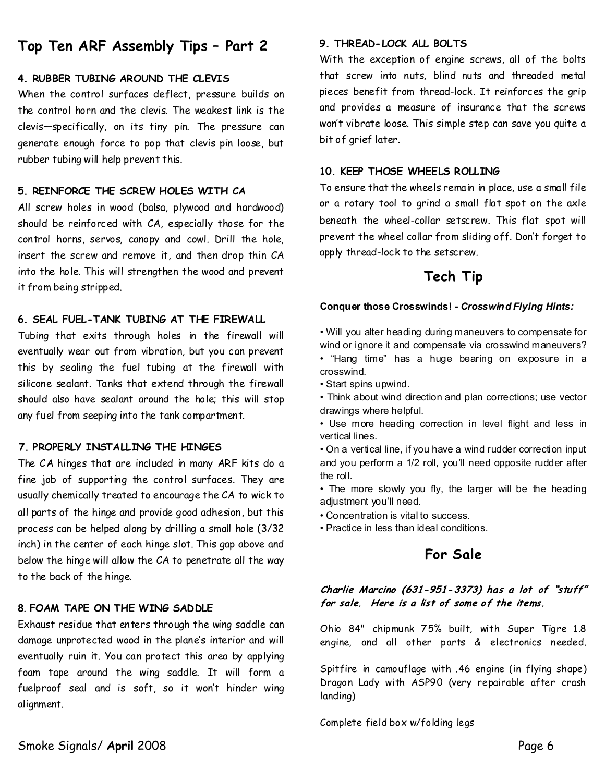# **Top Ten ARF Assembly Tips–Part2**

#### **4.RUBBER TUBING AROUND THE CLEVIS**

When the control surfaces deflect, pressure builds on the control horn and the clevis. The weakest link is the clevis—specifically, on its tiny pin. The pressure can generate enough force to pop that clevis pin loose, but rubber tubing will help prevent this.

#### **5.REINFORCE THE SCREW HOLES WITH CA**

All screw holes in wood (balsa, plywood and hardwood) should be reinforced with CA, especially those for the control horns, servos, canopy and cowl. Drill the hole, insert the screw and remove it, and then drop thin CA into the hole. This will strengthen the wood and prevent it from being stripped.

## **6.SEAL FUEL-TANK TUBING AT THE FIREWALL**

Tubing that exits through holes in the firewall will eventually wear out from vibration, but you can prevent this by sealing the fuel tubing at the firewall with silicone sealant. Tanks that extend through the firewall should also have sealant around the hole; this will stop any fuel from seeping into the tank compartment.

## **7.PROPERLY INSTALLING THE HINGES**

The CA hinges that are included in many ARF kits do a fine job of supporting the control surfaces. They are usually chemically treated to encourage the CA to wick to all parts of the hinge and provide good adhesion, but this process can be helped along by drilling a small hole (3/32 inch) in the center of each hinge slot. This gap above and below the hinge will allow the CA to penetrate all the way to the back of the hinge.

## **8**.**FOAM TAPE ON THE WING SADDLE**

Exhaust residue that enters through the wing saddle can damage unprotected wood in the plane's interior and will eventually ruin it. You can protect this area by applying foam tape around the wing saddle. It will form a fuelproof seal and is soft, so it won't hinder wing alignment.

#### **9.THREAD-LOCK ALL BOLTS**

With the exception of engine screws, all of the bolts that screw into nuts, blind nuts and threaded metal pieces benefit from thread-lock. It reinforces the grip and provides a measure of insurance that the screws won't vibrate loose. This simple step can save you quite a bit of grief later.

#### **10.KEEP THOSE WHEELSROLLING**

To ensure that the wheels remain in place, use a small file or a rotary tool to grind a small flat spot on the axle beneath the wheel-collar setscrew. This flat spot will prevent the wheel collar from sliding off. Don't forget to apply thread-lock to the setscrew.

## **Tech Tip**

#### **Conquer those Crosswinds!-***Crosswind Flying Hints:*

- Will you alter heading during maneuvers to compensate for wind or ignore it and compensate via crosswind maneuvers? • "Hang time" has a huge bearing on exposure in a crosswind.
- Start spins upwind.
- Think about wind direction and plan corrections; use vector drawings where helpful.
- Use more heading correction in level flight and less in vertical lines.
- On a vertical line, if you have a wind rudder correction input and you perform a 1/2 roll, you'll need opposite rudder after the roll.
- The more slowly you fly, the larger will be the heading adjustment you'll need.
- Concentration is vital to success.
- Practice in less than ideal conditions.

## **For Sale**

Charlie Marcino (631-951-3373) has a lot of "stuff" for sale. Here is a list of some of the items.

Ohio 84" chipmunk 75% built, with Super Tigre 1.8 engine, and all other parts & electronics needed.

Spitfire in camouflage with .46 engine (in flying shape) Dragon Lady with ASP90 (very repairable after crash landing)

Complete field box w/folding legs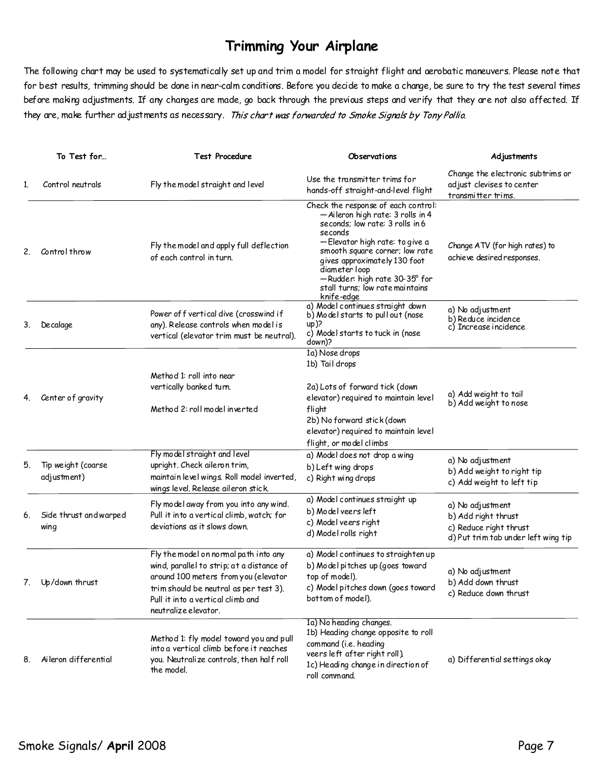# **Trimming Your Airplane**

The following chart may be used to systematically set up and trim a model for straight flight and aerobatic maneuvers. Please note that for best results, trimming should be done in near-calm conditions. Before you decide to make a change, be sure to try the test several times before making adjustments. If any changes are made, go back through the previous steps and verify that they are not also affected. If they are, make further ad justments as necessary. This chart was forwarded to Smoke Signals by Tony Pollio.

|    | To Test for                       | <b>Test Procedure</b>                                                                                                                                                                                                             | Observations                                                                                                                                                                                                                                                                                                                   | Adjustments                                                                                              |
|----|-----------------------------------|-----------------------------------------------------------------------------------------------------------------------------------------------------------------------------------------------------------------------------------|--------------------------------------------------------------------------------------------------------------------------------------------------------------------------------------------------------------------------------------------------------------------------------------------------------------------------------|----------------------------------------------------------------------------------------------------------|
| 1. | Control neutrals                  | Fly the model straight and level                                                                                                                                                                                                  | Use the transmitter trims for<br>hands-off straight-and-level flight                                                                                                                                                                                                                                                           | Change the electronic subtrims or<br>adjust clevises to center<br>transmitter trims.                     |
| 2. | Control throw                     | Fly the model and apply full deflection<br>of each control in turn.                                                                                                                                                               | Check the response of each control:<br>- Aileron high rate: 3 rolls in 4<br>seconds; low rate: 3 rolls in 6<br>seconds<br>-Elevator high rate: to give a<br>smooth square corner; low rate<br>gives approximately 130 foot<br>diameter loop<br>— Rudder: high rate 30-35° for<br>stall turns; low rate maintains<br>knife-edge | Change ATV (for high rates) to<br>achieve desired responses.                                             |
| 3. | Decalage                          | Power of f vertical dive (crosswind if<br>any). Release controls when model is<br>vertical (elevator trim must be neutral).                                                                                                       | a) Model continues straight down<br>b) Model starts to pull out (nose<br>up)?<br>c) Model starts to tuck in (nose<br>down)?                                                                                                                                                                                                    | a) No adjustment<br>b) Reduce incidence<br>c) Increase incidence                                         |
| 4. | Center of gravity                 | Method 1: roll into near<br>vertically banked turn.<br>Method 2: roll model inverted                                                                                                                                              | 1a) Nose drops<br>1b) Tail drops<br>2a) Lots of forward tick (down<br>elevator) required to maintain level<br>flight<br>2b) No forward stick (down<br>elevator) required to maintain level<br>flight, or model climbs                                                                                                          | a) Add weight to tail<br>b) Add weight to nose                                                           |
| 5. | Tip weight (coarse<br>adjustment) | Fly model straight and level<br>upright. Check aileron trim,<br>maintain level wings. Roll model inverted,<br>wings level. Release ail eron stick.                                                                                | a) Model does not drop a wing<br>b) Left wing drops<br>c) Right wing drops                                                                                                                                                                                                                                                     | a) No adjustment<br>b) Add weight to right tip<br>c) Add weight to left tip                              |
| 6. | Side thrust and warped<br>wing    | Fly model away from you into any wind.<br>Pull it into a vertical climb, watch; for<br>deviations as it slows down.                                                                                                               | a) Model continues straight up<br>b) Model veers left<br>c) Model veers right<br>d) Model rolls right                                                                                                                                                                                                                          | a) No adjustment<br>b) Add right thrust<br>c) Reduce right thrust<br>d) Put trim tab under left wing tip |
|    | 7. Up/down thrust                 | Fly the model on normal path into any<br>wind, parallel to strip; at a distance of<br>around 100 meters from you (elevator<br>trim should be neutral as per test 3).<br>Pull it into a vertical climb and<br>neutralize elevator. | a) Model continues to straighten up<br>b) Model pitches up (goes toward<br>top of model).<br>c) Model pitches down (goes toward<br>bottom of model).                                                                                                                                                                           | a) No adjustment<br>b) Add down thrust<br>c) Reduce down thrust                                          |
| 8. | Aileron differential              | Method 1: fly model toward you and pull<br>into a vertical climb before it reaches<br>you. Neutralize controls, then half roll<br>the model.                                                                                      | 1a) No heading changes.<br>1b) Heading change opposite to roll<br>command (i.e. heading<br>veers left after right roll).<br>1c) Heading change in direction of<br>roll command.                                                                                                                                                | a) Differential settings okay                                                                            |